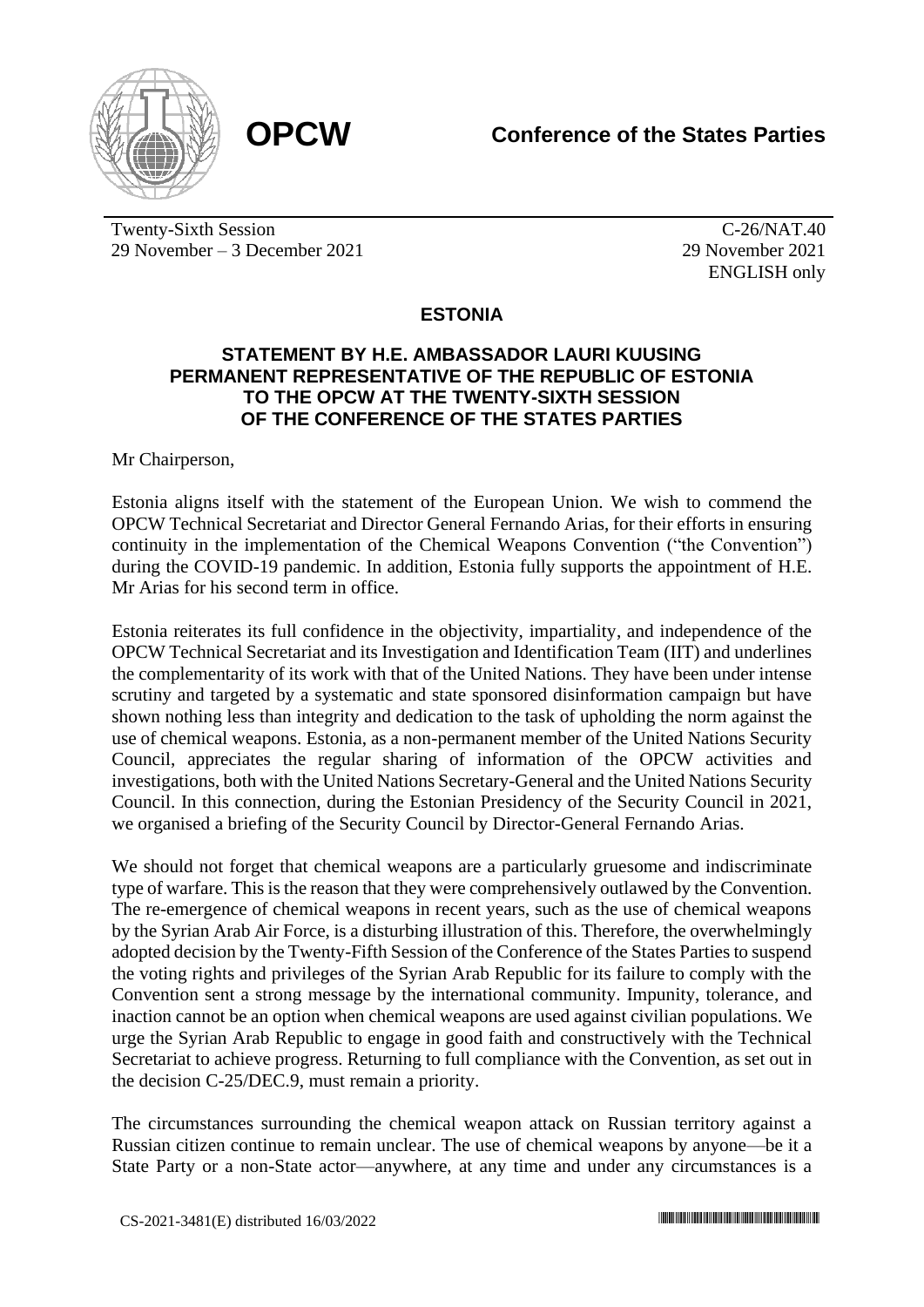

Twenty-Sixth Session 29 November – 3 December 2021

C-26/NAT.40 29 November 2021 ENGLISH only

## **ESTONIA**

## **STATEMENT BY H.E. AMBASSADOR LAURI KUUSING PERMANENT REPRESENTATIVE OF THE REPUBLIC OF ESTONIA TO THE OPCW AT THE TWENTY-SIXTH SESSION OF THE CONFERENCE OF THE STATES PARTIES**

Mr Chairperson,

Estonia aligns itself with the statement of the European Union. We wish to commend the OPCW Technical Secretariat and Director General Fernando Arias, for their efforts in ensuring continuity in the implementation of the Chemical Weapons Convention ("the Convention") during the COVID-19 pandemic. In addition, Estonia fully supports the appointment of H.E. Mr Arias for his second term in office.

Estonia reiterates its full confidence in the objectivity, impartiality, and independence of the OPCW Technical Secretariat and its Investigation and Identification Team (IIT) and underlines the complementarity of its work with that of the United Nations. They have been under intense scrutiny and targeted by a systematic and state sponsored disinformation campaign but have shown nothing less than integrity and dedication to the task of upholding the norm against the use of chemical weapons. Estonia, as a non-permanent member of the United Nations Security Council, appreciates the regular sharing of information of the OPCW activities and investigations, both with the United Nations Secretary-General and the United Nations Security Council. In this connection, during the Estonian Presidency of the Security Council in 2021, we organised a briefing of the Security Council by Director-General Fernando Arias.

We should not forget that chemical weapons are a particularly gruesome and indiscriminate type of warfare. This is the reason that they were comprehensively outlawed by the Convention. The re-emergence of chemical weapons in recent years, such as the use of chemical weapons by the Syrian Arab Air Force, is a disturbing illustration of this. Therefore, the overwhelmingly adopted decision by the Twenty-Fifth Session of the Conference of the States Parties to suspend the voting rights and privileges of the Syrian Arab Republic for its failure to comply with the Convention sent a strong message by the international community. Impunity, tolerance, and inaction cannot be an option when chemical weapons are used against civilian populations. We urge the Syrian Arab Republic to engage in good faith and constructively with the Technical Secretariat to achieve progress. Returning to full compliance with the Convention, as set out in the decision C-25/DEC.9, must remain a priority.

The circumstances surrounding the chemical weapon attack on Russian territory against a Russian citizen continue to remain unclear. The use of chemical weapons by anyone—be it a State Party or a non-State actor—anywhere, at any time and under any circumstances is a